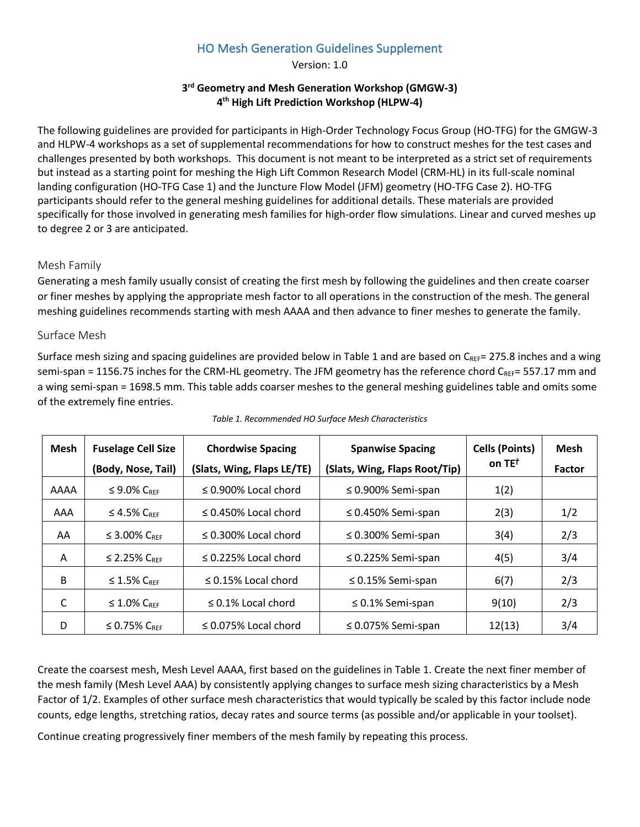# HO Mesh Generation Guidelines Supplement

Version: 1.0

#### **3rd Geometry and Mesh Generation Workshop (GMGW-3) 4th High Lift Prediction Workshop (HLPW-4)**

The following guidelines are provided for participants in High-Order Technology Focus Group (HO-TFG) for the GMGW-3 and HLPW-4 workshops as a set of supplemental recommendations for how to construct meshes for the test cases and challenges presented by both workshops. This document is not meant to be interpreted as a strict set of requirements but instead as a starting point for meshing the High Lift Common Research Model (CRM-HL) in its full-scale nominal landing configuration (HO-TFG Case 1) and the Juncture Flow Model (JFM) geometry (HO-TFG Case 2). HO-TFG participants should refer to the general meshing guidelines for additional details. These materials are provided specifically for those involved in generating mesh families for high-order flow simulations. Linear and curved meshes up to degree 2 or 3 are anticipated.

### Mesh Family

Generating a mesh family usually consist of creating the first mesh by following the guidelines and then create coarser or finer meshes by applying the appropriate mesh factor to all operations in the construction of the mesh. The general meshing guidelines recommends starting with mesh AAAA and then advance to finer meshes to generate the family.

#### Surface Mesh

Surface mesh sizing and spacing guidelines are provided below in Table 1 and are based on  $C_{REF} = 275.8$  inches and a wing semi-span = 1156.75 inches for the CRM-HL geometry. The JFM geometry has the reference chord  $C_{REF}$  = 557.17 mm and a wing semi-span = 1698.5 mm. This table adds coarser meshes to the general meshing guidelines table and omits some of the extremely fine entries.

| <b>Mesh</b> | <b>Fuselage Cell Size</b><br>(Body, Nose, Tail) | <b>Chordwise Spacing</b><br>(Slats, Wing, Flaps LE/TE) | <b>Spanwise Spacing</b><br>(Slats, Wing, Flaps Root/Tip) | <b>Cells (Points)</b><br>on $TE^{\dagger}$ | <b>Mesh</b><br>Factor |
|-------------|-------------------------------------------------|--------------------------------------------------------|----------------------------------------------------------|--------------------------------------------|-----------------------|
| AAAA        | $\leq$ 9.0% $C_{REF}$                           | $\leq$ 0.900% Local chord                              | $\leq$ 0.900% Semi-span                                  | 1(2)                                       |                       |
| AAA         | $\leq$ 4.5% $C_{REF}$                           | $\leq$ 0.450% Local chord                              | $\leq$ 0.450% Semi-span                                  | 2(3)                                       | 1/2                   |
| AA          | $\leq$ 3.00% $C_{REF}$                          | $\leq$ 0.300% Local chord                              | $\leq$ 0.300% Semi-span                                  | 3(4)                                       | 2/3                   |
| A           | $\leq$ 2.25% $C_{REF}$                          | $\leq$ 0.225% Local chord                              | $\leq$ 0.225% Semi-span                                  | 4(5)                                       | 3/4                   |
| B           | $\leq$ 1.5% $C_{REF}$                           | $\leq$ 0.15% Local chord                               | $\leq$ 0.15% Semi-span                                   | 6(7)                                       | 2/3                   |
| C           | $\leq$ 1.0% $C_{REF}$                           | $\leq$ 0.1% Local chord                                | $\leq 0.1\%$ Semi-span                                   | 9(10)                                      | 2/3                   |
| D           | $\leq$ 0.75% $C_{REF}$                          | $\leq$ 0.075% Local chord                              | $\leq$ 0.075% Semi-span                                  | 12(13)                                     | 3/4                   |

*Table 1. Recommended HO Surface Mesh Characteristics*

Create the coarsest mesh, Mesh Level AAAA, first based on the guidelines in Table 1. Create the next finer member of the mesh family (Mesh Level AAA) by consistently applying changes to surface mesh sizing characteristics by a Mesh Factor of 1/2. Examples of other surface mesh characteristics that would typically be scaled by this factor include node counts, edge lengths, stretching ratios, decay rates and source terms (as possible and/or applicable in your toolset).

Continue creating progressively finer members of the mesh family by repeating this process.